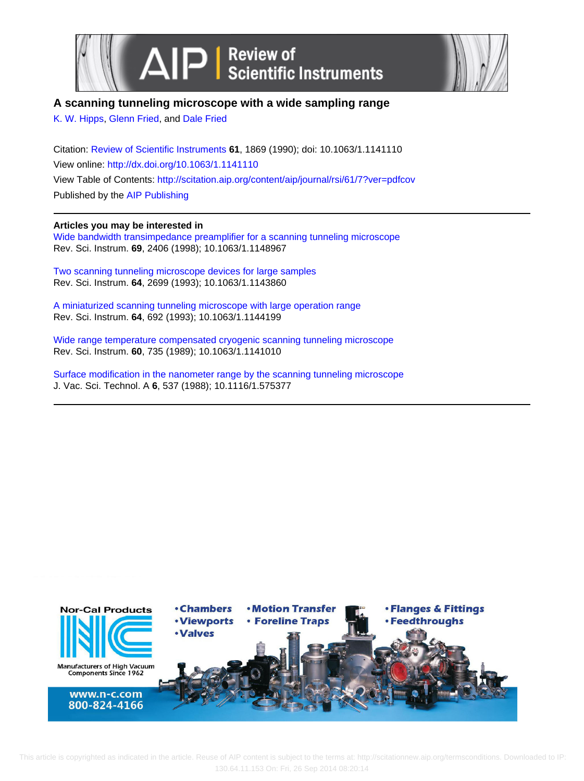



# **A scanning tunneling microscope with a wide sampling range**

[K. W. Hipps,](http://scitation.aip.org/search?value1=K.+W.+Hipps&option1=author) [Glenn Fried](http://scitation.aip.org/search?value1=Glenn+Fried&option1=author), and [Dale Fried](http://scitation.aip.org/search?value1=Dale+Fried&option1=author)

Citation: [Review of Scientific Instruments](http://scitation.aip.org/content/aip/journal/rsi?ver=pdfcov) **61**, 1869 (1990); doi: 10.1063/1.1141110 View online: <http://dx.doi.org/10.1063/1.1141110> View Table of Contents: <http://scitation.aip.org/content/aip/journal/rsi/61/7?ver=pdfcov> Published by the [AIP Publishing](http://scitation.aip.org/content/aip?ver=pdfcov)

## **Articles you may be interested in**

[Wide bandwidth transimpedance preamplifier for a scanning tunneling microscope](http://scitation.aip.org/content/aip/journal/rsi/69/6/10.1063/1.1148967?ver=pdfcov) Rev. Sci. Instrum. **69**, 2406 (1998); 10.1063/1.1148967

[Two scanning tunneling microscope devices for large samples](http://scitation.aip.org/content/aip/journal/rsi/64/9/10.1063/1.1143860?ver=pdfcov) Rev. Sci. Instrum. **64**, 2699 (1993); 10.1063/1.1143860

[A miniaturized scanning tunneling microscope with large operation range](http://scitation.aip.org/content/aip/journal/rsi/64/3/10.1063/1.1144199?ver=pdfcov) Rev. Sci. Instrum. **64**, 692 (1993); 10.1063/1.1144199

[Wide range temperature compensated cryogenic scanning tunneling microscope](http://scitation.aip.org/content/aip/journal/rsi/60/4/10.1063/1.1141010?ver=pdfcov) Rev. Sci. Instrum. **60**, 735 (1989); 10.1063/1.1141010

[Surface modification in the nanometer range by the scanning tunneling microscope](http://scitation.aip.org/content/avs/journal/jvsta/6/2/10.1116/1.575377?ver=pdfcov) J. Vac. Sci. Technol. A **6**, 537 (1988); 10.1116/1.575377

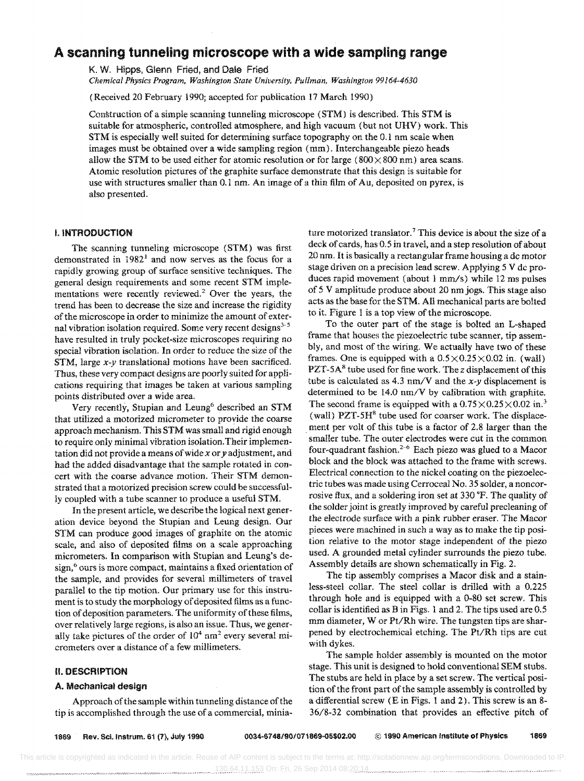# A scanning tunneling microscope with a wide sampling range

K. W. Hipps, Glenn Fried, and Dale Fried

*Chemical Physics Program, Washington State University, Pullman, Washington 99164-4630* 

(Received 20 February 1990; accepted for publication 17 March 1990)

Construction of a simple scanning tunneling microscope (STM) is described. This STM is suitable for atmospheric, controiled atmosphere, and high vacuum (but not UHV) work. This STM is especially well suited for determining surface topography on the 0.1 nm scale when images must be obtained over a wide sampling region (mm). Interchangeable piezo heads allow the STM to be used either for atomic resolution or for large ( $800 \times 800$  nm) area scans. Atomic resolution pictures of the graphite surface demonstrate that this design is suitable for use with structures smaller than 0.1 nm. An image of a thin film of Au, deposited on pyrex, is also presented.

## I. INTRODUCTION

The scanning tunneling microscope (STM) was first demonstrated in  $1982<sup>1</sup>$  and now serves as the focus for a rapidly growing group of surface sensitive techniques. The general design requirements and some recent STM implementations were recently reviewed.<sup>2</sup> Over the years, the trend has been to decrease the size and increase the rigidity of the microscope in order to minimize the amount of external vibration isolation required. Some very recent designs<sup>3-5</sup> have resulted in truly pocket-size microscopes requiring no special vibration isolation. In order to reduce the size of the STM, large x-y translational motions have been sacrificed. Thus, these very compact designs are poorly suited for applications requiring that images be taken at various sampling points distributed over a wide area,

Very recently, Stupian and Leung<sup>6</sup> described an STM that utilized a motorized micrometer to provide the coarse approach mechanism. This STM was small and rigid enough to require only minimal vibration isolation. Their implementation did not provide a means of wide *x* or *y* adjustment, and had the added disadvantage that the sample rotated in concert with the coarse advance motion. Their STM demonstrated that a motorized precision screw could be successfully coupled with a tube scanner to produce a useful STM.

In the present article, we describe the logical next generation device beyond the Stupian and Leung design. Our STM can produce good images of graphite on the atomic scale, and also of deposited films on a scale approaching micrometers. In comparison with Stupian and Leung's design,<sup>6</sup> ours is more compact, maintains a fixed orientation of the sample, and provides for several millimeters of travel parallel to the tip motion. Our primary use for this instrument is to study the morphology of deposited films as a function of deposition parameters. The uniformity of these films, over relatively large regions, is also an issue. Thus, we generally take pictures of the order of  $10^4$  nm<sup>2</sup> every several micrometers over a distance of a few millimeters.

## II. DESCRIPTION

## A. Mechanical design

Approach of the sample within tunneling distance of the tip is accomplished through the use of a commercial, miniature motorized translator.<sup>7</sup> This device is about the size of a deck of cards, has 0.5 in travel, and a step resolution of about 20 nm. It is basically a rectangular frame housing a dc motor stage driven on a precision lead screw, Applying 5 V de produces rapid movement (about 1 mm/s) while 12 ms pulses of 5 V amplitUde produce about 20 nm jogs. This stage also acts as the base for the STM. Ali mechanical parts are bolted to it. Figure 1 is a top view of the microscope.

To the outer part of the stage is bolted an L-shaped frame that houses the piezoelectric tube scanner, tip assembly, and most of the wiring, We actually have two of these frames. One is equipped with a  $0.5 \times 0.25 \times 0.02$  in, (wall) PZT-5A<sup>8</sup> tube used for fine work. The *z* displacement of this tube is calculated as 4.3 nm/V and the  $x-y$  displacement is determined to be 14.0 nm/V by calibration with graphite. The second frame is equipped with a  $0.75 \times 0.25 \times 0.02$  in.<sup>3</sup> (wall) PZT-5H<sup>8</sup> tube used for coarser work. The displacement per volt of this tube is a factor of 2.8 larger than the smaller tube. The outer electrodes were cut in the common four-quadrant fashion.<sup>2-6</sup> Each piezo was glued to a Macor block and the block was attached to the frame with screws. Electrical connection to the nickel coating on the piezoelectric tubes was made using Cerroceal No. 35 solder, a noncorrosive flux, and a soldering iron set at 330 °F. The quality of the solder joint is greatly improved by careful precleaning of the electrode surface with a pink rubber eraser. The Macor pieces were machined in such a way as to make the tip position relative to the motor stage independent of the piezo used. A grounded metal cylinder surrounds the piezo tube. Assembly details are shown schematically in Fig. 2.

The tip assembly comprises a Macor disk and a stainless-steel collar. The steel collar is drilled with a 0.225 through hole and is equipped with a 0-80 set screw. This collar is identified as B in Figs. 1 and 2, The tips used are 0.5 mm diameter, W or Pt/Rh wire. The tungsten tips are sharpened by electrochemical etching. The Pt/Rh tips are cut with dykes.

The sample holder assembly is mounted on the motor stage. This unit is designed to hold conventional SEM stubs. The stubs are held in place by a set screw. The vertical position of the front part of the sample assembly is controlled by a differential screw (E in Figs. 1 and 2). This screw is an 8- 36/8-32 combination that provides an effective pitch of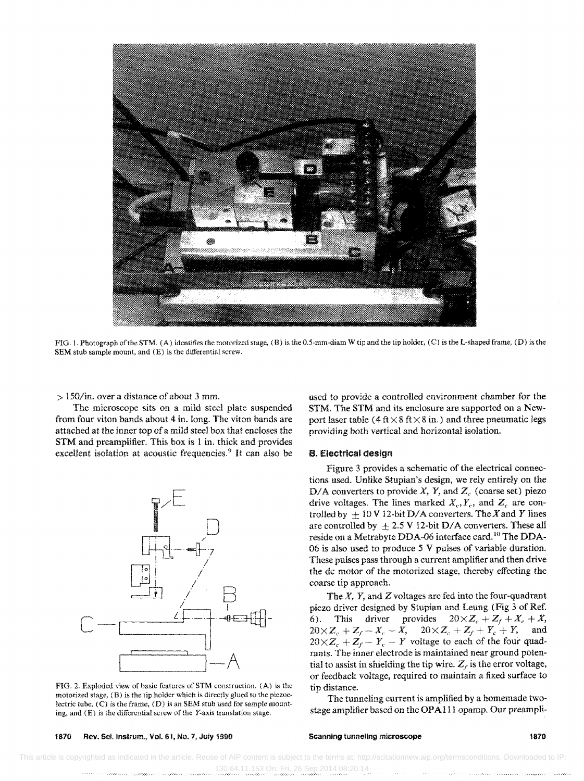

FIG. 1. Photograph of the STM. (A) identifies the motorized stage, (B) is the 0.5-mm-diam W tip and the tip holder, (C) is the L-shaped frame, (D) is the SEM stub sample mount, and (E) is the differential screw.

> I50/in. over a distance of about 3 *mm.* 

The microscope sits on a mild steel plate suspended from four viton bands about 4 in. long. The viton bands are attached at the inner top of a mild steel box that encloses the STM and preamplifier. This box is 1 in. thick and provides excellent isolation at acoustic frequencies.<sup>9</sup> It can also be



FIG. 2. Exploded view of basic features of STM construction. (A) is the motorized stage, (B) is the tip holder which is directly glued to the piezoelectric tube,  $(C)$  is the frame,  $(D)$  is an SEM stub used for sample mounting, and  $(E)$  is the differential screw of the Y-axis translation stage.

used to provide a controlled environment chamber for the STM. The STM and its enclosure are supported on a Newport laser table (4 ft  $\times$  8 ft  $\times$  8 in.) and three pneumatic legs providing both vertical and horizontal isolation.

#### B. Electrical design

Figure 3 provides a schematic of the electrical connections used. Unlike Stupian's design, we rely entirely on the D/A converters to provide *X*, *Y*, and  $Z_c$  (coarse set) piezo drive voltages. The lines marked  $X_c, Y_c$ , and  $Z_c$  are controlled by  $\pm 10 \text{ V} 12$ -bit D/A converters. The X and Y lines are controlled by  $\pm 2.5$  V 12-bit D/A converters. These all reside on a Metrabyte DDA-06 interface card. 10 The DDA-06 is also used to produce 5 V pulses of variable duration. These pulses pass through a current amplifier and then drive the dc motor of the motorized stage, thereby effecting the coarse tip approach.

The  $X$ ,  $Y$ , and  $Z$  voltages are fed into the four-quadrant piezo driver designed by Stupian and Leung (Fig 3 of Ref. 6). This driver provides  $20 \times Z_c + Z_f + X_c + X$ ,  $20\times Z_c + Z_f - X_c - X$ ,  $20\times Z_c + Z_f + Y_c + Y$ , and  $20 \times Z_c + Z_f - Y_c - Y$  voltage to each of the four quadrants. The inner electrode is maintained near ground potential to assist in shielding the tip wire.  $Z_f$  is the error voltage, or feedback voltage, required to maintain a fixed surface to tip distance.

The tunneling current is amplified by a homemade twostage amplifier based on the OPA 111 opamp. Our preampli-

1870 Rev. SC:i.lnstrum., Vol. 61, No.7, July 1990

#### Scanning tunneling microscope 1870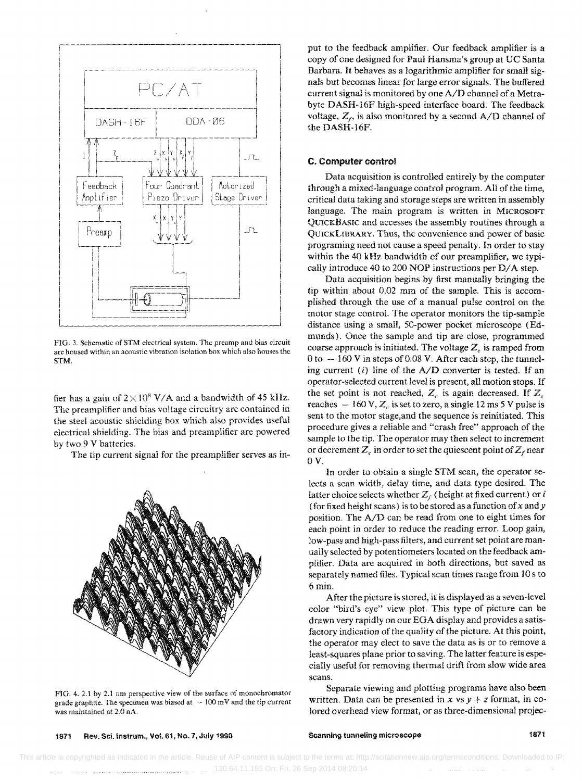

FIG. 3. Schematic of STM electrical system. The preamp and bias circuit arc housed within an acoustic vibration isolation box which also houses the STM.

fier has a gain of  $2 \times 10^8$  V/A and a bandwidth of 45 kHz. The preamplifier and bias voltage circuitry are contained in the steel acoustic shielding box which also provides useful electrical shielding. The bias and preamplifier arc powered by two 9 V batteries.

The tip current signal for the preamplifier serves as in-



FIG. 4. 2.1 by 2.1 nm perspective view of the surface of monochromator grade graphite. The specimen was biased at  $\sim 100$  mV and the tip current was maintained at 2.0 nA.

put to the feedback amplifier. Our feedback amplifier is a copy of one designed for Paul Hansma's group at UC Santa Barbara. It behaves as a logarithmic amplifier for small signals but becomes linear for large error signals. The buffered current signal is monitored by one *AID* channel of a Metrabyte DASH-16F high-speed interface board. The feedback voltage,  $Z_i$ , is also monitored by a second  $A/D$  channel of the DASH-16F.

#### C. Computer control

Data acquisition is controlled entirely by the computer through a mixed-language control program. All of the time, critical data taking and storage steps are written in assembly language. The main program is written in MICROSOFT QUICKBASIC and accesses the assembly routines through a QUICKLIBRARY. Thus, the convenience and power of basic programing need not cause a speed penalty. In order to stay within the 40 kHz bandwidth of our preamplifier, we typically introduce 40 to 200 NOP instructions per D/A step.

Data acquisition begins by first manually bringing the tip within about 0.02 mm of the sample. This is accomplished through the use of a manual pulse control on the motor stage control. The operator monitors the tip-sample distance using a small, 50-power pocket microscope (Edmunds). Once the sample and tip are close, programmed coarse approach is initiated. The voltage  $Z_c$  is ramped from  $0$  to  $-160$  V in steps of 0.08 V. After each step, the tunneling current (i) line of the *AID* converter is tested. If an operator-selected current level is present, all motion stops. If the set point is not reached,  $Z_c$  is again decreased. If  $Z_c$ reaches  $-160 \text{ V}$ ,  $Z_c$  is set to zero, a single 12 ms 5 V pulse is sent to the motor stage,and the sequence is reinitiated. This procedure gives a reliable and "crash free" approach of the sample to the tip. The operator may then select to increment or decrement  $Z_c$ , in order to set the quiescent point of  $Z_f$  near OV.

In order to obtain a single STM scan, the operator selects a scan width, delay time, and data type desired. The latter choice selects whether  $Z_f$  (height at fixed current) or i (for fixed height scans) is to be stored as a function of x and y position. The *AID* can be read from one to eight times for each point in order to reduce the reading error. Loop gain, low-pass and high-pass filters, and current set point are manually selected by potentiometers located on the feedback amplifier. Data are acquired in both directions, but saved as separately named files. Typical scan times range from 10 s to 6 min.

After the picture is stored, it is displayed as a seven-level color "bird's eye" view plot. This type of picture can be drawn very rapidly on our EGA display and provides a satisfactory indication of the quality of the picture. At this point, the operator may elect to save the data as is or to remove a least-squares plane prior to saving. The latter feature is especially useful for removing thermal drift from slow wide area scans.

Separate viewing and plotting programs have also been written. Data can be presented in x vs  $y + z$  format, in colored overhead view format, or as three-dimensional projec-

1871 Rev. Sci. instrum., Vol. 61, No. 7, July 1990

Scanning tunneling microscope **1871**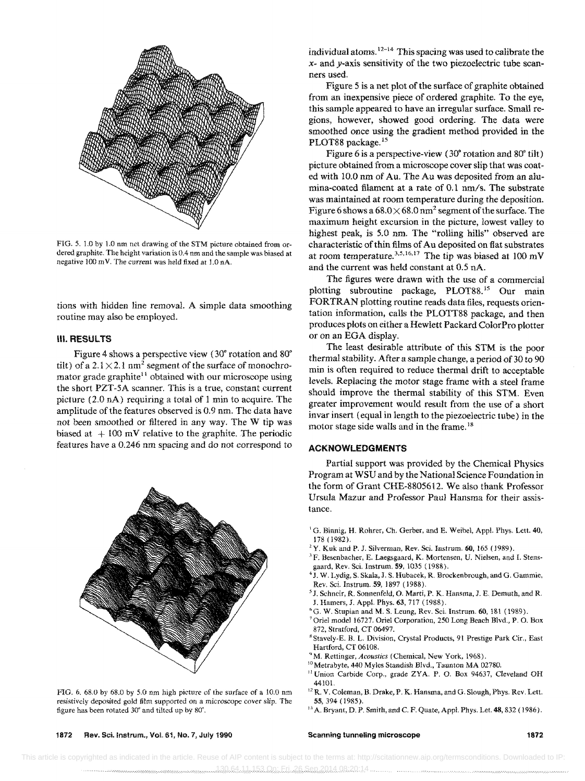

FIG. 5. 1.0 by 1.0 nm net drawing of the STM picture obtained from ordered graphite. The height variation is 0.4 nm and the sample was biased at negative  $100$  mV. The current was held fixed at 1.0 nA.

tions with hidden line removal. A simple data smoothing routine may also be employed.

## III. RESULTS

Figure 4 shows a perspective view (30<sup>°</sup> rotation and 80<sup>°</sup> tilt) of a 2.1 $\times$ 2.1 nm<sup>2</sup> segment of the surface of monochromator grade graphite<sup> $11$ </sup> obtained with our microscope using the short PZT-SA scanner. This is a true, constant current picture (2.0 nA) requiring a total of 1 min to acquire. The amplitude of the features observed is 0.9 nm. The data have not been smoothed or filtered in any way. The W tip was biased at  $+100$  mV relative to the graphite. The periodic features have a 0.246 nm spacing and do not correspond to



FIG. 6. 68.0 by 68.0 by 5.0 nm high picture of the surface of a 10.0 nm resistively deposited gold film supported on a microscope cover slip. The figure has been rotated 30· and tilted up by 80".

individual atoms. 12-14 This spacing was used to calibrate the x- and y-axis sensitivity of the two piezoelectric tube scanners used.

Figure 5 is a net plot of the surface of graphite obtained from an inexpensive piece of ordered graphite. To the eye, this sample appeared to have an irregular surface. Small regions, however, showed good ordering. The data were smoothed once using the gradient method provided in the PLOT88 package.<sup>15</sup>

Figure 6 is a perspective-view  $(30^{\circ}$  rotation and  $80^{\circ}$  tilt) picture obtained from a microscope cover slip that was coated with 10.0 nm of Au. The Au was deposited from an alumina-coated filament at a rate of 0.1 nm/s. The substrate was maintained at room temperature during the deposition. Figure 6 shows a  $68.0 \times 68.0$  nm<sup>2</sup> segment of the surface. The maximum height excursion in the picture, lowest valley to highest peak, is 5.0 nm. The "rolling hills" observed are characteristic of thin films of Au deposited on fiat substrates at room temperature.<sup>3,5,16,17</sup> The tip was biased at 100 mV and the current was held constant at 0.5 nA.

The figures were drawn with the use of a commercial plotting subroutine package, PLOT88.<sup>15</sup> Our main FORTRAN plotting routine reads data files, requests orientation information, calls the PLOTT88 package, and then produces plots on either a Hewlett Packard Color Pro plotter or on an EGA display.

The least desirable attribute of this STM is the poor thermal stability. After a sample change. a period of 30 to 90 min is often required to reduce thermal drift to acceptable levels. Replacing the motor stage frame with a steel frame should improve the thermal stability of this STM. Even greater improvement would result from the use of a short invar insert (equal in length to the piezoelectric tube) in the motor stage side walls and in the frame.<sup>18</sup>

## **ACKNOWLEDGMENTS**

Partial support was provided by the Chemical Physics Program at WSU and by the National Science Foundation in the form of Grant CHE-8805612. We also thank Professor Ursula Mazur and Professor Paul Hansma for their assistance.

- <sup>1</sup>G. Binnig, H. Rohrer, Ch. Gerber, and E. Weibel, Appl. Phys. Lett. 40, 178 (1982).
- $2Y$ . Kuk and P. J. Silverman, Rev. Sci. Instrum. 60, 165 (1989).
- 'F. Besenbacher, E. Laegsgaard, K. Mortensen, U. Nielsen, and I. Stensgaard, Rev. Sci. lnstrum. 59,1035 (1988).
- <sup>4</sup> J. W. Lydig, S. Skala, J. S. Hubacek, R. Brockenbrough, and G. Gammie, Rev. Sci. Instrum. 59, 1897 (1988).
- 5 J. Sehneir, R. Sonnenfeld, O. Marti, P. K. Hansma, J. E. Demuth, and R. J. Hamers, J. App!. Phys. 63, 717 (1988).
- <sup>6</sup>G. W. Stupian and M. S. Leung, Rev. Sci. Instrum. 60, 181 (1989).
- 7 Oriel model 16727. Oriel Corporation, 250 Long Beach Blvd., P. O. Box 872, Stratford, CT 06497.
- <sup>8</sup> Stavely-E. B. L. Division, Crystal Products, 91 Prestige Park Cir., East Hartford, CT 06108.
- <sup>9</sup>M. Rettinger, *Acoustics* (Chemical, New York, 1968).
- 10 Metrabyte. 440 Myles Standish Blvd., Taunton MA 02780.
- <sup>11</sup> Union Carbide Corp., grade ZYA. P. O. Box 94637, Cleveland OH 44101.
- <sup>12</sup> R. V. Coleman, B. Drake, P. K. Hansma, and G. Slough, Phys. Rev. Lett. S5, 394 ( 1985).
- <sup>13</sup> A. Bryant, D. P. Smith, and C. F. Quate, Appl. Phys. Let. 48, 832 ( 1986).

1872 Rev. Sci.lnstrum., Vol. 61, No.7, July 1990

#### Scanning tunneling microscope 1872